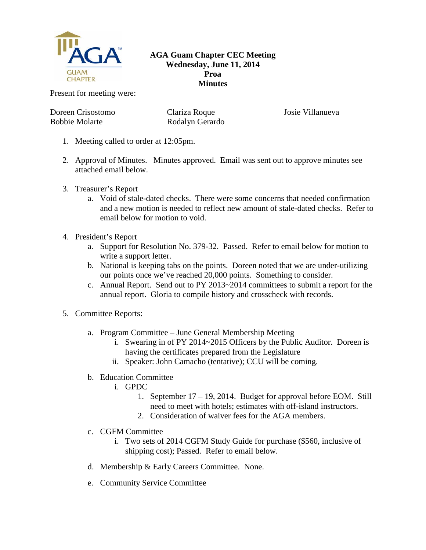

## **AGA Guam Chapter CEC Meeting Wednesday, June 11, 2014 Proa Minutes**

Present for meeting were:

Doreen Crisostomo Bobbie Molarte

Clariza Roque Rodalyn Gerardo Josie Villanueva

- 1. Meeting called to order at 12:05pm.
- 2. Approval of Minutes. Minutes approved. Email was sent out to approve minutes see attached email below.
- 3. Treasurer's Report
	- a. Void of stale-dated checks. There were some concerns that needed confirmation and a new motion is needed to reflect new amount of stale-dated checks. Refer to email below for motion to void.
- 4. President's Report
	- a. Support for Resolution No. 379-32. Passed. Refer to email below for motion to write a support letter.
	- b. National is keeping tabs on the points. Doreen noted that we are under-utilizing our points once we've reached 20,000 points. Something to consider.
	- c. Annual Report. Send out to PY 2013~2014 committees to submit a report for the annual report. Gloria to compile history and crosscheck with records.
- 5. Committee Reports:
	- a. Program Committee June General Membership Meeting
		- i. Swearing in of PY 2014~2015 Officers by the Public Auditor. Doreen is having the certificates prepared from the Legislature
		- ii. Speaker: John Camacho (tentative); CCU will be coming.
	- b. Education Committee
		- i. GPDC
			- 1. September 17 19, 2014. Budget for approval before EOM. Still need to meet with hotels; estimates with off-island instructors.
			- 2. Consideration of waiver fees for the AGA members.
	- c. CGFM Committee
		- i. Two sets of 2014 CGFM Study Guide for purchase (\$560, inclusive of shipping cost); Passed. Refer to email below.
	- d. Membership & Early Careers Committee. None.
	- e. Community Service Committee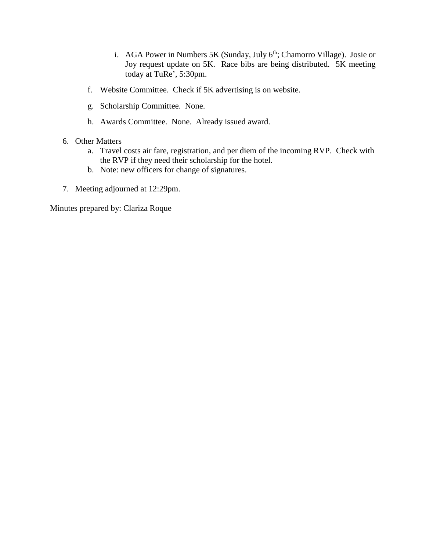- i. AGA Power in Numbers 5K (Sunday, July 6<sup>th</sup>; Chamorro Village). Josie or Joy request update on 5K. Race bibs are being distributed. 5K meeting today at TuRe', 5:30pm.
- f. Website Committee. Check if 5K advertising is on website.
- g. Scholarship Committee. None.
- h. Awards Committee. None. Already issued award.
- 6. Other Matters
	- a. Travel costs air fare, registration, and per diem of the incoming RVP. Check with the RVP if they need their scholarship for the hotel.
	- b. Note: new officers for change of signatures.
- 7. Meeting adjourned at 12:29pm.

Minutes prepared by: Clariza Roque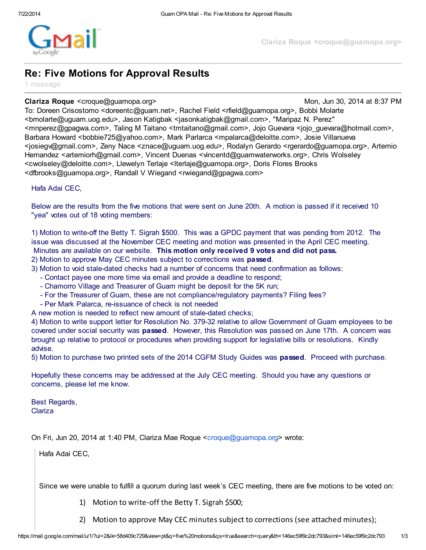

## Re: Five Motions for Approval Results

1 message

## **Clariza Roque** <croque@guamopa.org> Mon, Jun 30, 2014 at 8:37 PM

To: Doreen Crisostomo <doreentc@guam.net>, Rachel Field <rfield@guamopa.org>, Bobbi Molarte <bmolarte@uguam.uog.edu>, Jason Katigbak <jasonkatigbak@gmail.com>, "Maripaz N. Perez" <mnperez@gpagwa.com>, Taling M Taitano <tmtaitano@gmail.com>, Jojo Guevara <jojo\_guevara@hotmail.com>, Barbara Howard <bobbie725@yahoo.com>, Mark Parlarca <mpalarca@deloitte.com>, Josie Villanueva <josiegv@gmail.com>, Zeny Nace <znace@uguam.uog.edu>, Rodalyn Gerardo <rgerardo@guamopa.org>, Artemio Hernandez <artemiorh@gmail.com>, Vincent Duenas <vincentd@guamwaterworks.org>, Chris Wolseley <cwolseley@deloitte.com>, Llewelyn Terlaje <lterlaje@guamopa.org>, Doris Flores Brooks <dfbrooks@guamopa.org>, Randall V Wiegand <rwiegand@gpagwa.com>

Hafa Adai CEC,

Below are the results from the five motions that were sent on June 20th. A motion is passed if it received 10 "yea" votes out of 18 voting members:

1) Motion to write-off the Betty T. Sigrah \$500. This was a GPDC payment that was pending from 2012. The issue was discussed at the November CEC meeting and motion was presented in the April CEC meeting. Minutes are available on our website. This motion only received 9 votes and did not pass.

2) Motion to approve May CEC minutes subject to corrections was passed.

3) Motion to void stale-dated checks had a number of concerns that need confirmation as follows:

- Contact payee one more time via email and provide a deadline to respond;
- Chamorro Village and Treasurer of Guam might be deposit for the 5K run;
- For the Treasurer of Guam, these are not compliance/regulatory payments? Filing fees?
- Per Mark Palarca, re-issuance of check is not needed

A new motion is needed to reflect new amount of stale-dated checks;

4) Motion to write support letter for Resolution No. 379-32 relative to allow Government of Guam employees to be covered under social security was **passed**. However, this Resolution was passed on June 17th. A concern was brought up relative to protocol or procedures when providing support for legislative bills or resolutions. Kindly advise.

5) Motion to purchase two printed sets of the 2014 CGFM Study Guides was **passed**. Proceed with purchase.

Hopefully these concerns may be addressed at the July CEC meeting. Should you have any questions or concerns, please let me know.

Best Regards, Clariza

On Fri, Jun 20, 2014 at 1:40 PM, Clariza Mae Roque <[croque@guamopa.org>](mailto:croque@guamopa.org) wrote:

Hafa Adai CEC,

Since we were unable to fulfill a quorum during last week's CEC meeting, there are five motions to be voted on:

- 1) Motion to write-off the Betty T. Sigrah \$500;
- 2) Motion to approve May CEC minutes subject to corrections (see attached minutes);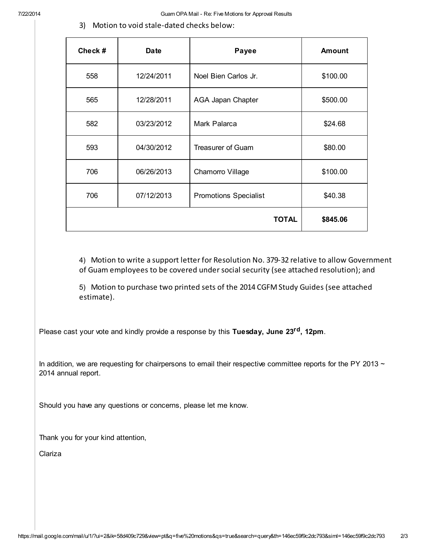3) Motion to void stale-dated checks below:

| Check# | Date       | Payee                        | <b>Amount</b> |
|--------|------------|------------------------------|---------------|
| 558    | 12/24/2011 | Noel Bien Carlos Jr.         | \$100.00      |
| 565    | 12/28/2011 | AGA Japan Chapter            | \$500.00      |
| 582    | 03/23/2012 | Mark Palarca                 | \$24.68       |
| 593    | 04/30/2012 | <b>Treasurer of Guam</b>     | \$80.00       |
| 706    | 06/26/2013 | Chamorro Village             | \$100.00      |
| 706    | 07/12/2013 | <b>Promotions Specialist</b> | \$40.38       |
|        |            | <b>TOTAL</b>                 | \$845.06      |

4) Motion to write a support letter for Resolution No. 379-32 relative to allow Government of Guam employees to be covered undersocial security (see attached resolution); and

5) Motion to purchase two printed sets of the 2014 CGFM Study Guides (see attached estimate).

Please cast your vote and kindly provide a response by this Tuesday, June 23<sup>rd</sup>, 12pm.

In addition, we are requesting for chairpersons to email their respective committee reports for the PY 2013  $\sim$ 2014 annual report.

Should you have any questions or concerns, please let me know.

Thank you for your kind attention,

Clariza